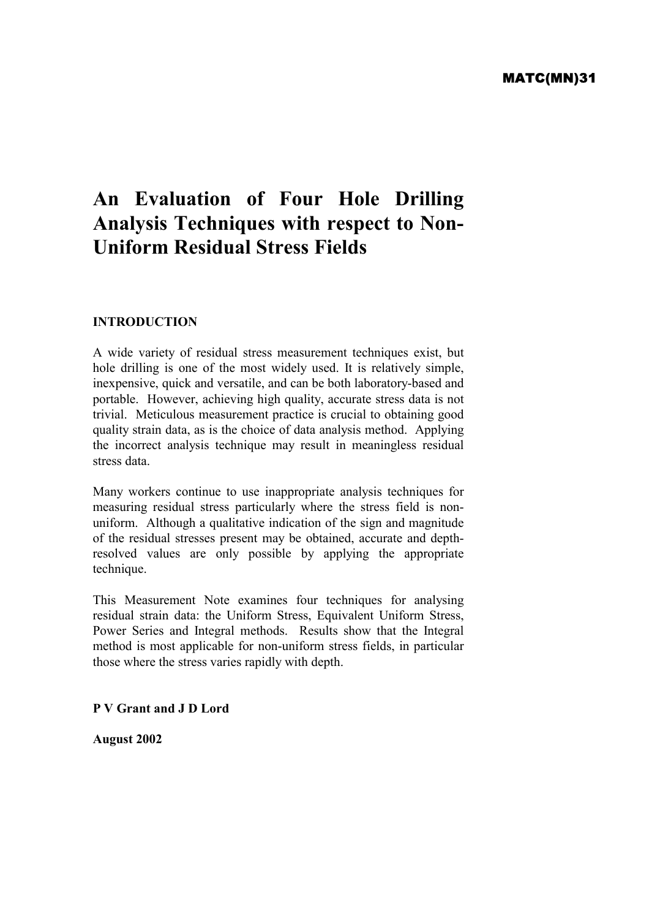# **An Evaluation of Four Hole Drilling Analysis Techniques with respect to Non-Uniform Residual Stress Fields**

## **INTRODUCTION**

A wide variety of residual stress measurement techniques exist, but hole drilling is one of the most widely used. It is relatively simple, inexpensive, quick and versatile, and can be both laboratory-based and portable. However, achieving high quality, accurate stress data is not trivial. Meticulous measurement practice is crucial to obtaining good quality strain data, as is the choice of data analysis method. Applying the incorrect analysis technique may result in meaningless residual stress data.

Many workers continue to use inappropriate analysis techniques for measuring residual stress particularly where the stress field is nonuniform. Although a qualitative indication of the sign and magnitude of the residual stresses present may be obtained, accurate and depthresolved values are only possible by applying the appropriate technique.

This Measurement Note examines four techniques for analysing residual strain data: the Uniform Stress, Equivalent Uniform Stress, Power Series and Integral methods. Results show that the Integral method is most applicable for non-uniform stress fields, in particular those where the stress varies rapidly with depth.

**P V Grant and J D Lord** 

**August 2002**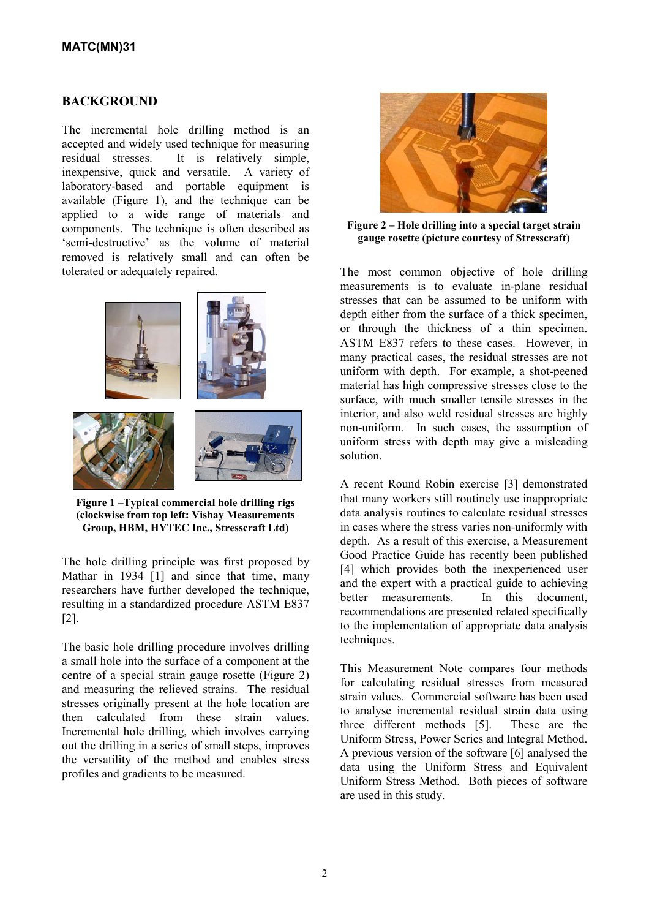#### **BACKGROUND**

The incremental hole drilling method is an accepted and widely used technique for measuring residual stresses. It is relatively simple, inexpensive, quick and versatile. A variety of laboratory-based and portable equipment is available (Figure 1), and the technique can be applied to a wide range of materials and components. The technique is often described as 'semi-destructive' as the volume of material removed is relatively small and can often be tolerated or adequately repaired.



**Figure 1 –Typical commercial hole drilling rigs (clockwise from top left: Vishay Measurements Group, HBM, HYTEC Inc., Stresscraft Ltd)**

The hole drilling principle was first proposed by Mathar in 1934 [1] and since that time, many researchers have further developed the technique, resulting in a standardized procedure ASTM E837 [2].

The basic hole drilling procedure involves drilling a small hole into the surface of a component at the centre of a special strain gauge rosette (Figure 2) and measuring the relieved strains. The residual stresses originally present at the hole location are then calculated from these strain values. Incremental hole drilling, which involves carrying out the drilling in a series of small steps, improves the versatility of the method and enables stress profiles and gradients to be measured.



**Figure 2 – Hole drilling into a special target strain gauge rosette (picture courtesy of Stresscraft)** 

The most common objective of hole drilling measurements is to evaluate in-plane residual stresses that can be assumed to be uniform with depth either from the surface of a thick specimen, or through the thickness of a thin specimen. ASTM E837 refers to these cases. However, in many practical cases, the residual stresses are not uniform with depth. For example, a shot-peened material has high compressive stresses close to the surface, with much smaller tensile stresses in the interior, and also weld residual stresses are highly non-uniform. In such cases, the assumption of uniform stress with depth may give a misleading solution.

A recent Round Robin exercise [3] demonstrated that many workers still routinely use inappropriate data analysis routines to calculate residual stresses in cases where the stress varies non-uniformly with depth. As a result of this exercise, a Measurement Good Practice Guide has recently been published [4] which provides both the inexperienced user and the expert with a practical guide to achieving better measurements. In this document, recommendations are presented related specifically to the implementation of appropriate data analysis techniques.

This Measurement Note compares four methods for calculating residual stresses from measured strain values. Commercial software has been used to analyse incremental residual strain data using three different methods [5]. These are the Uniform Stress, Power Series and Integral Method. A previous version of the software [6] analysed the data using the Uniform Stress and Equivalent Uniform Stress Method. Both pieces of software are used in this study.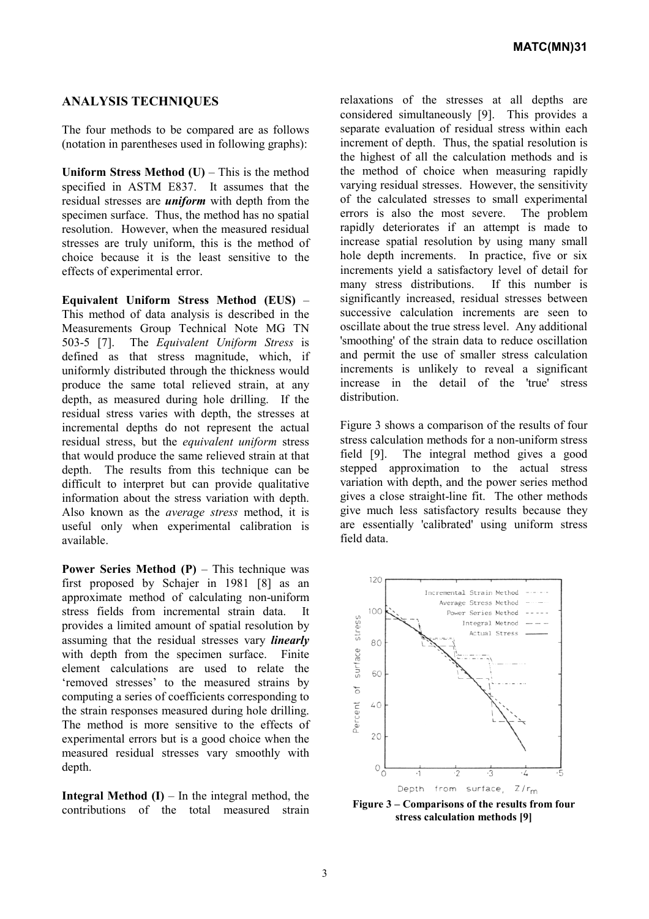## **ANALYSIS TECHNIQUES**

The four methods to be compared are as follows (notation in parentheses used in following graphs):

**Uniform Stress Method**  $(U)$  – This is the method specified in ASTM E837. It assumes that the residual stresses are *uniform* with depth from the specimen surface. Thus, the method has no spatial resolution. However, when the measured residual stresses are truly uniform, this is the method of choice because it is the least sensitive to the effects of experimental error.

**Equivalent Uniform Stress Method (EUS)** – This method of data analysis is described in the Measurements Group Technical Note MG TN 503-5 [7]. The *Equivalent Uniform Stress* is defined as that stress magnitude, which, if uniformly distributed through the thickness would produce the same total relieved strain, at any depth, as measured during hole drilling. If the residual stress varies with depth, the stresses at incremental depths do not represent the actual residual stress, but the *equivalent uniform* stress that would produce the same relieved strain at that depth. The results from this technique can be difficult to interpret but can provide qualitative information about the stress variation with depth. Also known as the *average stress* method, it is useful only when experimental calibration is available.

**Power Series Method (P)** – This technique was first proposed by Schajer in 1981 [8] as an approximate method of calculating non-uniform stress fields from incremental strain data. It provides a limited amount of spatial resolution by assuming that the residual stresses vary *linearly* with depth from the specimen surface. Finite element calculations are used to relate the 'removed stresses' to the measured strains by computing a series of coefficients corresponding to the strain responses measured during hole drilling. The method is more sensitive to the effects of experimental errors but is a good choice when the measured residual stresses vary smoothly with depth.

**Integral Method**  $(I)$  – In the integral method, the contributions of the total measured strain relaxations of the stresses at all depths are considered simultaneously [9]. This provides a separate evaluation of residual stress within each increment of depth. Thus, the spatial resolution is the highest of all the calculation methods and is the method of choice when measuring rapidly varying residual stresses. However, the sensitivity of the calculated stresses to small experimental errors is also the most severe. The problem rapidly deteriorates if an attempt is made to increase spatial resolution by using many small hole depth increments. In practice, five or six increments yield a satisfactory level of detail for many stress distributions. If this number is significantly increased, residual stresses between successive calculation increments are seen to oscillate about the true stress level. Any additional 'smoothing' of the strain data to reduce oscillation and permit the use of smaller stress calculation increments is unlikely to reveal a significant increase in the detail of the 'true' stress distribution.

Figure 3 shows a comparison of the results of four stress calculation methods for a non-uniform stress field [9]. The integral method gives a good stepped approximation to the actual stress variation with depth, and the power series method gives a close straight-line fit. The other methods give much less satisfactory results because they are essentially 'calibrated' using uniform stress field data.



**Figure 3 – Comparisons of the results from four stress calculation methods [9]**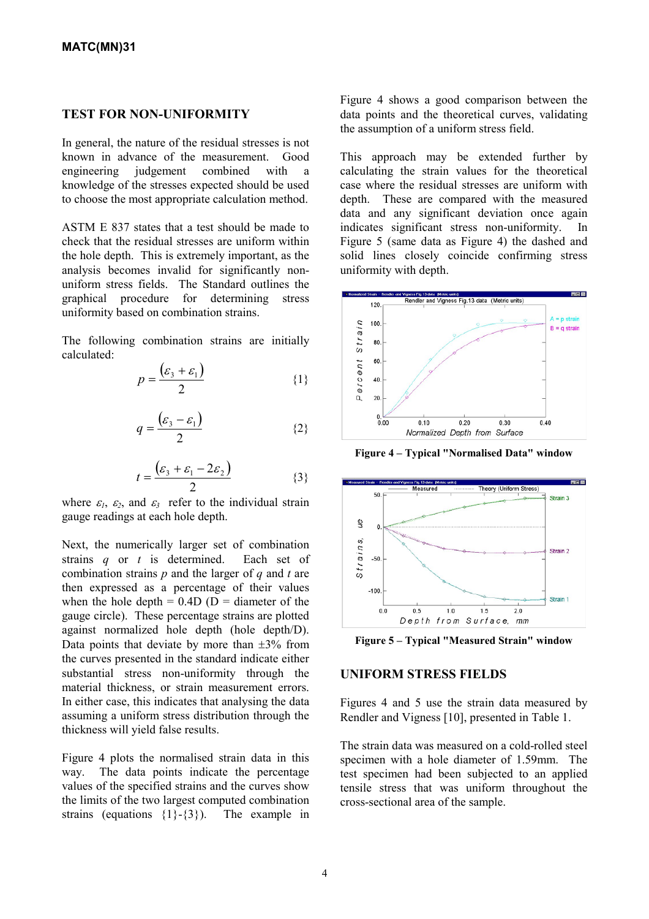## **TEST FOR NON-UNIFORMITY**

In general, the nature of the residual stresses is not known in advance of the measurement. Good engineering judgement combined with a knowledge of the stresses expected should be used to choose the most appropriate calculation method.

ASTM E 837 states that a test should be made to check that the residual stresses are uniform within the hole depth. This is extremely important, as the analysis becomes invalid for significantly nonuniform stress fields. The Standard outlines the graphical procedure for determining stress uniformity based on combination strains.

The following combination strains are initially calculated:

$$
p = \frac{(\varepsilon_3 + \varepsilon_1)}{2} \tag{1}
$$

$$
q = \frac{(\varepsilon_3 - \varepsilon_1)}{2} \tag{2}
$$

$$
t = \frac{(\varepsilon_3 + \varepsilon_1 - 2\varepsilon_2)}{2} \tag{3}
$$

where  $\varepsilon_1$ ,  $\varepsilon_2$ , and  $\varepsilon_3$  refer to the individual strain gauge readings at each hole depth.

Next, the numerically larger set of combination strains *q* or *t* is determined. Each set of combination strains *p* and the larger of *q* and *t* are then expressed as a percentage of their values when the hole depth =  $0.4D$  ( $D =$  diameter of the gauge circle). These percentage strains are plotted against normalized hole depth (hole depth/D). Data points that deviate by more than  $\pm 3\%$  from the curves presented in the standard indicate either substantial stress non-uniformity through the material thickness, or strain measurement errors. In either case, this indicates that analysing the data assuming a uniform stress distribution through the thickness will yield false results.

Figure 4 plots the normalised strain data in this way. The data points indicate the percentage values of the specified strains and the curves show the limits of the two largest computed combination strains (equations  $\{1\}$ - $\{3\}$ ). The example in Figure 4 shows a good comparison between the data points and the theoretical curves, validating the assumption of a uniform stress field.

This approach may be extended further by calculating the strain values for the theoretical case where the residual stresses are uniform with depth. These are compared with the measured data and any significant deviation once again indicates significant stress non-uniformity. In Figure 5 (same data as Figure 4) the dashed and solid lines closely coincide confirming stress uniformity with depth.



**Figure 4 – Typical "Normalised Data" window** 



**Figure 5 – Typical "Measured Strain" window** 

#### **UNIFORM STRESS FIELDS**

Figures 4 and 5 use the strain data measured by Rendler and Vigness [10], presented in Table 1.

The strain data was measured on a cold-rolled steel specimen with a hole diameter of 1.59mm. The test specimen had been subjected to an applied tensile stress that was uniform throughout the cross-sectional area of the sample.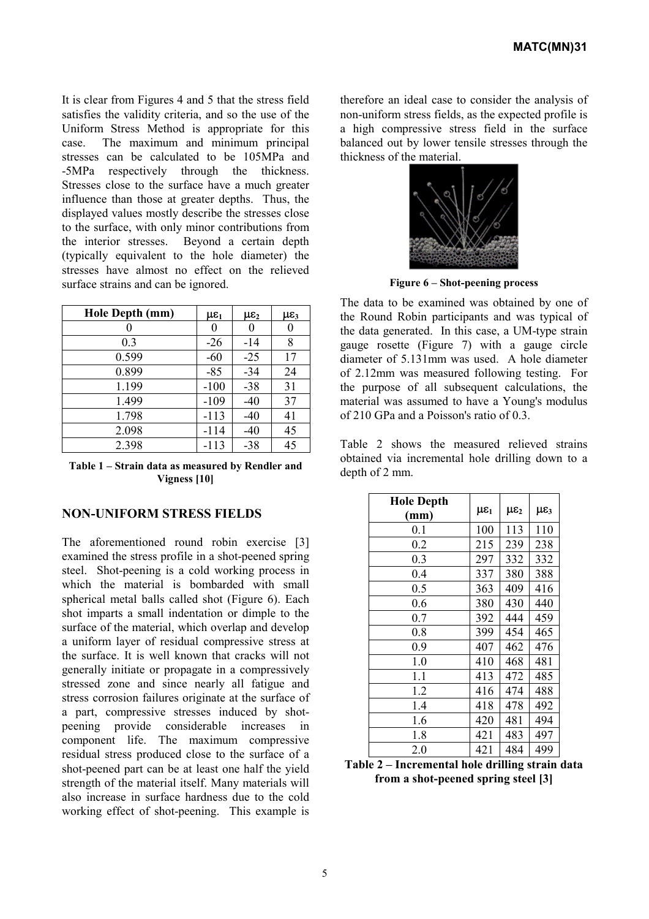It is clear from Figures 4 and 5 that the stress field satisfies the validity criteria, and so the use of the Uniform Stress Method is appropriate for this case. The maximum and minimum principal stresses can be calculated to be 105MPa and -5MPa respectively through the thickness. Stresses close to the surface have a much greater influence than those at greater depths. Thus, the displayed values mostly describe the stresses close to the surface, with only minor contributions from the interior stresses. Beyond a certain depth (typically equivalent to the hole diameter) the stresses have almost no effect on the relieved surface strains and can be ignored.

| Hole Depth (mm) | $\mu \varepsilon_1$ | $\mu \varepsilon_2$ | $\mu \varepsilon_3$ |
|-----------------|---------------------|---------------------|---------------------|
|                 |                     |                     |                     |
| 0.3             | $-26$               | $-14$               | 8                   |
| 0.599           | $-60$               | $-25$               | 17                  |
| 0.899           | $-85$               | $-34$               | 24                  |
| 1.199           | $-100$              | $-38$               | 31                  |
| 1.499           | $-109$              | $-40$               | 37                  |
| 1.798           | $-113$              | $-40$               | 41                  |
| 2.098           | $-114$              | $-40$               | 45                  |
| 2.398           | $-113$              | $-38$               | 45                  |

**Table 1 – Strain data as measured by Rendler and Vigness [10]** 

## **NON-UNIFORM STRESS FIELDS**

The aforementioned round robin exercise [3] examined the stress profile in a shot-peened spring steel. Shot-peening is a cold working process in which the material is bombarded with small spherical metal balls called shot (Figure 6). Each shot imparts a small indentation or dimple to the surface of the material, which overlap and develop a uniform layer of residual compressive stress at the surface. It is well known that cracks will not generally initiate or propagate in a compressively stressed zone and since nearly all fatigue and stress corrosion failures originate at the surface of a part, compressive stresses induced by shotpeening provide considerable increases in component life. The maximum compressive residual stress produced close to the surface of a shot-peened part can be at least one half the yield strength of the material itself. Many materials will also increase in surface hardness due to the cold working effect of shot-peening. This example is therefore an ideal case to consider the analysis of non-uniform stress fields, as the expected profile is a high compressive stress field in the surface balanced out by lower tensile stresses through the thickness of the material.



**Figure 6 – Shot-peening process**

The data to be examined was obtained by one of the Round Robin participants and was typical of the data generated. In this case, a UM-type strain gauge rosette (Figure 7) with a gauge circle diameter of 5.131mm was used. A hole diameter of 2.12mm was measured following testing. For the purpose of all subsequent calculations, the material was assumed to have a Young's modulus of 210 GPa and a Poisson's ratio of 0.3.

Table 2 shows the measured relieved strains obtained via incremental hole drilling down to a depth of 2 mm.

| <b>Hole Depth</b><br>(mm) | $\mu \varepsilon_1$ | $\mu \varepsilon_2$ | $\mu \varepsilon_3$ |
|---------------------------|---------------------|---------------------|---------------------|
| 0.1                       | 100                 | 113                 | 110                 |
| 0.2                       | 215                 | 239                 | 238                 |
| 0.3                       | 297                 | 332                 | 332                 |
| 0.4                       | 337                 | 380                 | 388                 |
| 0.5                       | 363                 | 409                 | 416                 |
| 0.6                       | 380                 | 430                 | 440                 |
| 0.7                       | 392                 | 444                 | 459                 |
| 0.8                       | 399                 | 454                 | 465                 |
| 0.9                       | 407                 | 462                 | 476                 |
| 1.0                       | 410                 | 468                 | 481                 |
| 1.1                       | 413                 | 472                 | 485                 |
| 1.2                       | 416                 | 474                 | 488                 |
| 1.4                       | 418                 | 478                 | 492                 |
| 1.6                       | 420                 | 481                 | 494                 |
| 1.8                       | 421                 | 483                 | 497                 |
| 2.0                       | 421                 | 484                 | 499                 |

**Table 2 – Incremental hole drilling strain data from a shot-peened spring steel [3]**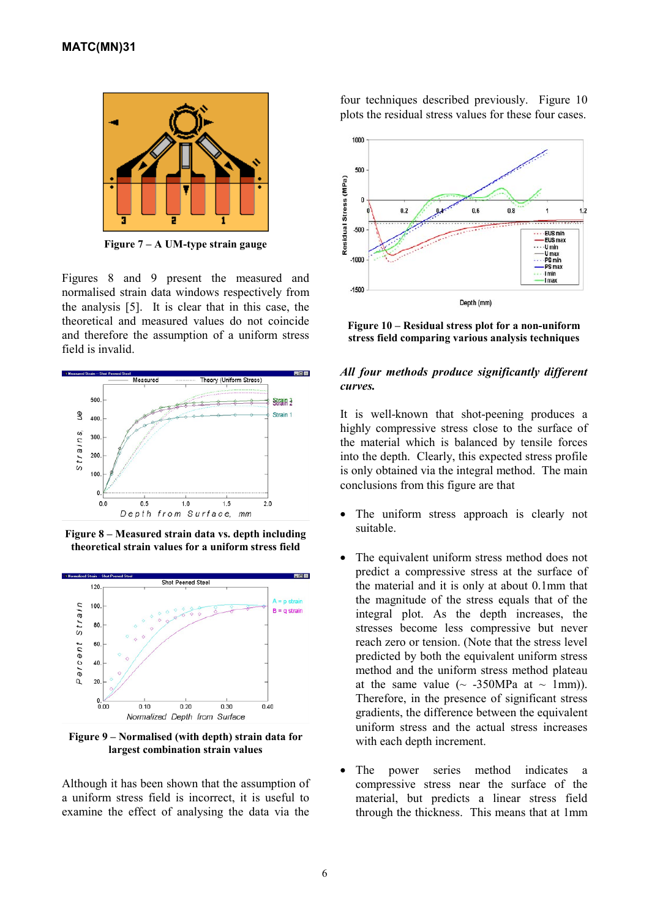

**Figure 7 – A UM-type strain gauge** 

Figures 8 and 9 present the measured and normalised strain data windows respectively from the analysis [5]. It is clear that in this case, the theoretical and measured values do not coincide and therefore the assumption of a uniform stress field is invalid.



**Figure 8 – Measured strain data vs. depth including theoretical strain values for a uniform stress field** 



**Figure 9 – Normalised (with depth) strain data for largest combination strain values** 

Although it has been shown that the assumption of a uniform stress field is incorrect, it is useful to examine the effect of analysing the data via the

four techniques described previously. Figure 10 plots the residual stress values for these four cases.



**Figure 10 – Residual stress plot for a non-uniform stress field comparing various analysis techniques**

#### *All four methods produce significantly different curves.*

It is well-known that shot-peening produces a highly compressive stress close to the surface of the material which is balanced by tensile forces into the depth. Clearly, this expected stress profile is only obtained via the integral method. The main conclusions from this figure are that

- The uniform stress approach is clearly not suitable.  $\bullet$
- $\bullet$ The equivalent uniform stress method does not predict a compressive stress at the surface of the material and it is only at about 0.1mm that the magnitude of the stress equals that of the integral plot. As the depth increases, the stresses become less compressive but never reach zero or tension. (Note that the stress level predicted by both the equivalent uniform stress method and the uniform stress method plateau at the same value  $(\sim -350MPa$  at  $\sim 1mm)$ ). Therefore, in the presence of significant stress gradients, the difference between the equivalent uniform stress and the actual stress increases with each depth increment.
- $\bullet$ The power series method indicates a compressive stress near the surface of the material, but predicts a linear stress field through the thickness. This means that at 1mm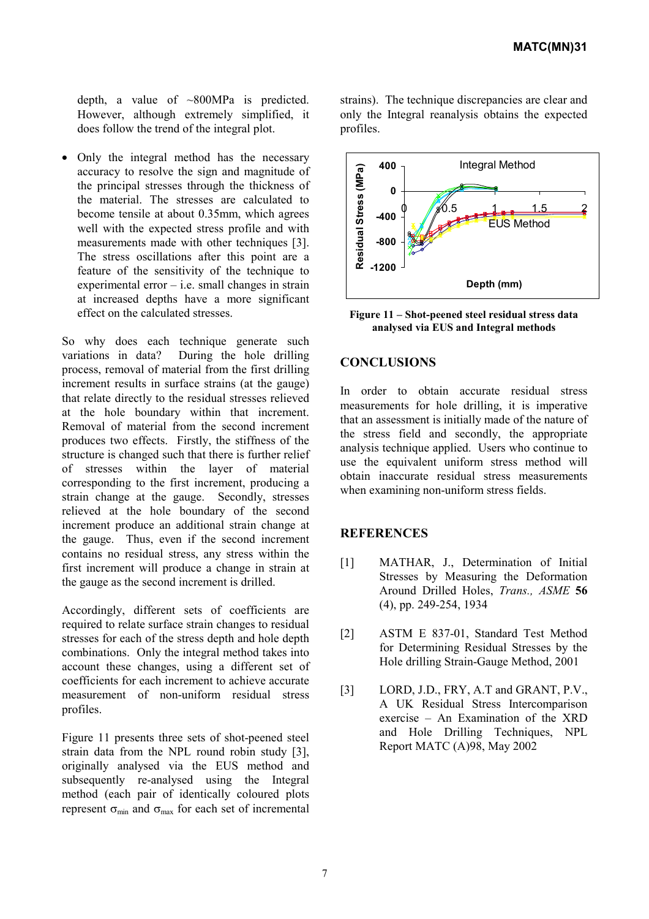depth, a value of ~800MPa is predicted. However, although extremely simplified, it does follow the trend of the integral plot.

• Only the integral method has the necessary accuracy to resolve the sign and magnitude of the principal stresses through the thickness of the material. The stresses are calculated to become tensile at about 0.35mm, which agrees well with the expected stress profile and with measurements made with other techniques [3]. The stress oscillations after this point are a feature of the sensitivity of the technique to experimental error  $-$  i.e. small changes in strain at increased depths have a more significant effect on the calculated stresses.

So why does each technique generate such variations in data? During the hole drilling process, removal of material from the first drilling increment results in surface strains (at the gauge) that relate directly to the residual stresses relieved at the hole boundary within that increment. Removal of material from the second increment produces two effects. Firstly, the stiffness of the structure is changed such that there is further relief of stresses within the layer of material corresponding to the first increment, producing a strain change at the gauge. Secondly, stresses relieved at the hole boundary of the second increment produce an additional strain change at the gauge. Thus, even if the second increment contains no residual stress, any stress within the first increment will produce a change in strain at the gauge as the second increment is drilled.

Accordingly, different sets of coefficients are required to relate surface strain changes to residual stresses for each of the stress depth and hole depth combinations. Only the integral method takes into account these changes, using a different set of coefficients for each increment to achieve accurate measurement of non-uniform residual stress profiles.

Figure 11 presents three sets of shot-peened steel strain data from the NPL round robin study [3], originally analysed via the EUS method and subsequently re-analysed using the Integral method (each pair of identically coloured plots represent  $\sigma_{min}$  and  $\sigma_{max}$  for each set of incremental strains). The technique discrepancies are clear and only the Integral reanalysis obtains the expected profiles.



**Figure 11 – Shot-peened steel residual stress data analysed via EUS and Integral methods**

## **CONCLUSIONS**

In order to obtain accurate residual stress measurements for hole drilling, it is imperative that an assessment is initially made of the nature of the stress field and secondly, the appropriate analysis technique applied. Users who continue to use the equivalent uniform stress method will obtain inaccurate residual stress measurements when examining non-uniform stress fields.

#### **REFERENCES**

- [1] MATHAR, J., Determination of Initial Stresses by Measuring the Deformation Around Drilled Holes, *Trans., ASME* **56** (4), pp. 249-254, 1934
- [2] ASTM E 837-01, Standard Test Method for Determining Residual Stresses by the Hole drilling Strain-Gauge Method, 2001
- [3] LORD, J.D., FRY, A.T and GRANT, P.V., A UK Residual Stress Intercomparison exercise – An Examination of the XRD and Hole Drilling Techniques, NPL Report MATC (A)98, May 2002